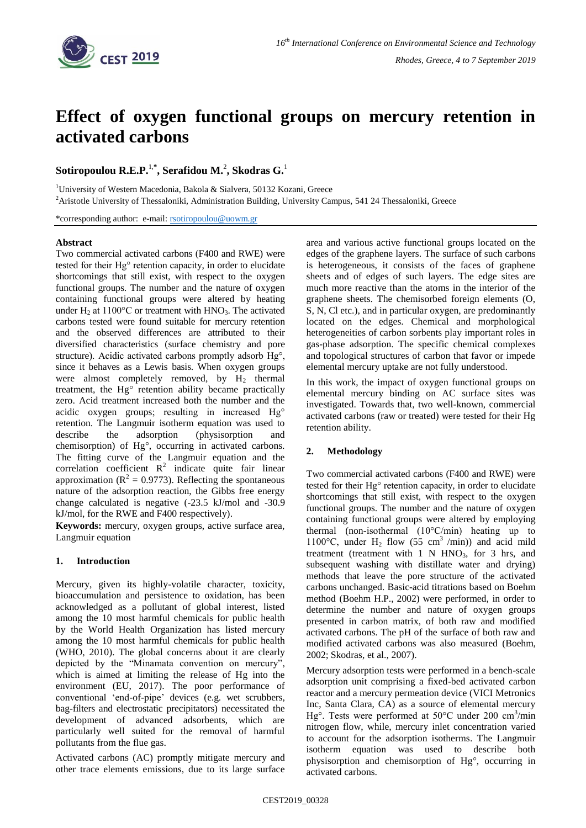

# **Effect of oxygen functional groups on mercury retention in activated carbons**

**Sotiropoulou R.E.P.**1,**\* , Serafidou M.**<sup>2</sup> **, Skodras G.**<sup>1</sup>

<sup>1</sup>University of Western Macedonia, Bakola & Sialvera, 50132 Kozani, Greece

<sup>2</sup>Aristotle University of Thessaloniki, Administration Building, University Campus, 541 24 Thessaloniki, Greece

\*corresponding author: e-mail: [rsotiropoulou@uowm.gr](mailto:rsotiropoulou@uowm.gr)

## **Abstract**

Two commercial activated carbons (F400 and RWE) were tested for their Hg° retention capacity, in order to elucidate shortcomings that still exist, with respect to the oxygen functional groups. The number and the nature of oxygen containing functional groups were altered by heating under H<sub>2</sub> at  $1100^{\circ}$ C or treatment with HNO<sub>3</sub>. The activated carbons tested were found suitable for mercury retention and the observed differences are attributed to their diversified characteristics (surface chemistry and pore structure). Acidic activated carbons promptly adsorb Hg°, since it behaves as a Lewis basis. When oxygen groups were almost completely removed, by  $H_2$  thermal treatment, the Hg° retention ability became practically zero. Acid treatment increased both the number and the acidic oxygen groups; resulting in increased Hg° retention. The Langmuir isotherm equation was used to describe the adsorption (physisorption and chemisorption) of Hg°, occurring in activated carbons. The fitting curve of the Langmuir equation and the correlation coefficient  $R^2$  indicate quite fair linear approximation ( $R^2 = 0.9773$ ). Reflecting the spontaneous nature of the adsorption reaction, the Gibbs free energy change calculated is negative (-23.5 kJ/mol and -30.9 kJ/mol, for the RWE and F400 respectively).

**Keywords:** mercury, oxygen groups, active surface area, Langmuir equation

## **1. Introduction**

Mercury, given its highly-volatile character, toxicity, bioaccumulation and persistence to oxidation, has been acknowledged as a pollutant of global interest, listed among the 10 most harmful chemicals for public health by the World Health Organization has listed mercury among the 10 most harmful chemicals for public health (WHO, 2010). The global concerns about it are clearly depicted by the "Minamata convention on mercury", which is aimed at limiting the release of Hg into the environment (EU, 2017). The poor performance of conventional 'end-of-pipe' devices (e.g. wet scrubbers, bag-filters and electrostatic precipitators) necessitated the development of advanced adsorbents, which are particularly well suited for the removal of harmful pollutants from the flue gas.

Activated carbons (AC) promptly mitigate mercury and other trace elements emissions, due to its large surface

area and various active functional groups located on the edges of the graphene layers. The surface of such carbons is heterogeneous, it consists of the faces of graphene sheets and of edges of such layers. The edge sites are much more reactive than the atoms in the interior of the graphene sheets. The chemisorbed foreign elements (O, S, N, Cl etc.), and in particular oxygen, are predominantly located on the edges. Chemical and morphological heterogeneities of carbon sorbents play important roles in gas-phase adsorption. The specific chemical complexes and topological structures of carbon that favor or impede elemental mercury uptake are not fully understood.

In this work, the impact of oxygen functional groups on elemental mercury binding on AC surface sites was investigated. Towards that, two well-known, commercial activated carbons (raw or treated) were tested for their Hg retention ability.

# **2. Methodology**

Two commercial activated carbons (F400 and RWE) were tested for their Hg° retention capacity, in order to elucidate shortcomings that still exist, with respect to the oxygen functional groups. The number and the nature of oxygen containing functional groups were altered by employing thermal (non-isothermal (10°C/min) heating up to 1100°C, under H<sub>2</sub> flow (55 cm<sup>3</sup> /min)) and acid mild treatment (treatment with  $1$  N HNO<sub>3</sub>, for  $3$  hrs, and subsequent washing with distillate water and drying) methods that leave the pore structure of the activated carbons unchanged. Basic-acid titrations based on Boehm method (Boehm H.P., 2002) were performed, in order to determine the number and nature of oxygen groups presented in carbon matrix, of both raw and modified activated carbons. The pH of the surface of both raw and modified activated carbons was also measured (Boehm, 2002; Skodras, et al., 2007).

Mercury adsorption tests were performed in a bench-scale adsorption unit comprising a fixed-bed activated carbon reactor and a mercury permeation device (VICI Metronics Inc, Santa Clara, CA) as a source of elemental mercury Hg°. Tests were performed at 50°C under 200 cm<sup>3</sup>/min nitrogen flow, while, mercury inlet concentration varied to account for the adsorption isotherms. The Langmuir isotherm equation was used to describe both physisorption and chemisorption of Hg°, occurring in activated carbons.